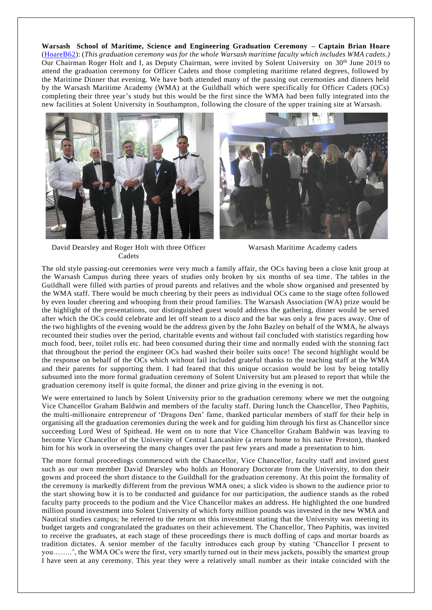**Warsash School of Maritime, Science and Engineering Graduation Ceremony – Captain Brian Hoare** [\(HoareB62\)](https://www.warsashassociation.net/site/members/view/hoareb62.htm): (*This graduation ceremony was for the whole Warsash maritime faculty which includes WMA cadets.)* Our Chairman Roger Holt and I, as Deputy Chairman, were invited by Solent University on 30<sup>th</sup> June 2019 to attend the graduation ceremony for Officer Cadets and those completing maritime related degrees, followed by the Maritime Dinner that evening. We have both attended many of the passing out ceremonies and dinners held by the Warsash Maritime Academy (WMA) at the Guildhall which were specifically for Officer Cadets (OCs) completing their three year's study but this would be the first since the WMA had been fully integrated into the new facilities at Solent University in Southampton, following the closure of the upper training site at Warsash.





David Dearsley and Roger Holt with three Officer Cadets

Warsash Maritime Academy cadets

The old style passing-out ceremonies were very much a family affair, the OCs having been a close knit group at the Warsash Campus during three years of studies only broken by six months of sea time . The tables in the Guildhall were filled with parties of proud parents and relatives and the whole show organised and presented by the WMA staff. There would be much cheering by their peers as individual OCs came to the stage often followed by even louder cheering and whooping from their proud families. The Warsash Association (WA) prize would be the highlight of the presentations, our distinguished guest would address the gathering, dinner would be served after which the OCs could celebrate and let off steam to a disco and the bar was only a few p aces away. One of the two highlights of the evening would be the address given by the John Bazley on behalf of the WMA, he always recounted their studies over the period, charitable events and without fail concluded with statistics regarding how much food, beer, toilet rolls etc. had been consumed during their time and normally ended with the stunning fact that throughout the period the engineer OCs had washed their boiler suits once! The second highlight would be the response on behalf of the OCs which without fail included grateful thanks to the teaching staff at the WMA and their parents for supporting them. I had feared that this unique occasion would be lost by being totally subsumed into the more formal graduation ceremony of Solent University but am pleased to report that while the graduation ceremony itself is quite formal, the dinner and prize giving in the evening is not.

We were entertained to lunch by Solent University prior to the graduation ceremony where we met the outgoing Vice Chancellor Graham Baldwin and members of the faculty staff. During lunch the Chancellor, Theo Paphitis, the multi-millionaire entrepreneur of 'Dragons Den' fame, thanked particular members of staff for their help in organising all the graduation ceremonies during the week and for guiding him through his first as Chancellor since succeeding Lord West of Spithead. He went on to note that Vice Chancellor Graham Baldwin was leaving to become Vice Chancellor of the University of Central Lancashire (a return home to his native Preston), thanked him for his work in overseeing the many changes over the past few years and made a presentation to him.

The more formal proceedings commenced with the Chancellor, Vice Chancellor, faculty staff and invited guest such as our own member David Dearsley who holds an Honorary Doctorate from the University, to don their gowns and proceed the short distance to the Guildhall for the graduation ceremony. At this point the formality of the ceremony is markedly different from the previous WMA ones; a slick video is shown to the audience prior to the start showing how it is to be conducted and guidance for our participation, the audience stands as the robed faculty party proceeds to the podium and the Vice Chancellor makes an address. He highlighted the one hundred million pound investment into Solent University of which forty million pounds was invested in the new WMA and Nautical studies campus; he referred to the return on this investment stating that the University was meeting its budget targets and congratulated the graduates on their achievement. The Chancellor, Theo Paphitis, was invited to receive the graduates, at each stage of these proceedings there is much doffing of caps and mortar boards as tradition dictates. A senior member of the faculty introduces each group by stating 'Chancellor I present to you……..', the WMA OCs were the first, very smartly turned out in their mess jackets, possibly the smartest group I have seen at any ceremony. This year they were a relatively small number as their intake coincided with the